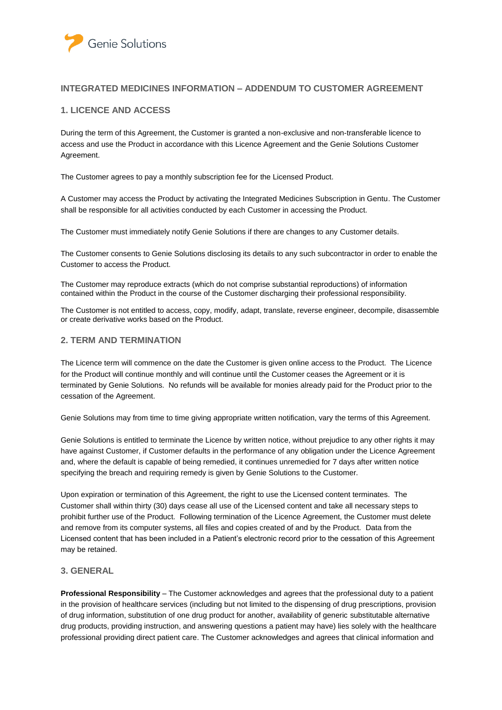

## **INTEGRATED MEDICINES INFORMATION – ADDENDUM TO CUSTOMER AGREEMENT**

## **1. LICENCE AND ACCESS**

During the term of this Agreement, the Customer is granted a non-exclusive and non-transferable licence to access and use the Product in accordance with this Licence Agreement and the Genie Solutions Customer Agreement.

The Customer agrees to pay a monthly subscription fee for the Licensed Product.

A Customer may access the Product by activating the Integrated Medicines Subscription in Gentu. The Customer shall be responsible for all activities conducted by each Customer in accessing the Product.

The Customer must immediately notify Genie Solutions if there are changes to any Customer details.

The Customer consents to Genie Solutions disclosing its details to any such subcontractor in order to enable the Customer to access the Product.

The Customer may reproduce extracts (which do not comprise substantial reproductions) of information contained within the Product in the course of the Customer discharging their professional responsibility.

The Customer is not entitled to access, copy, modify, adapt, translate, reverse engineer, decompile, disassemble or create derivative works based on the Product.

## **2. TERM AND TERMINATION**

The Licence term will commence on the date the Customer is given online access to the Product. The Licence for the Product will continue monthly and will continue until the Customer ceases the Agreement or it is terminated by Genie Solutions. No refunds will be available for monies already paid for the Product prior to the cessation of the Agreement.

Genie Solutions may from time to time giving appropriate written notification, vary the terms of this Agreement.

Genie Solutions is entitled to terminate the Licence by written notice, without prejudice to any other rights it may have against Customer, if Customer defaults in the performance of any obligation under the Licence Agreement and, where the default is capable of being remedied, it continues unremedied for 7 days after written notice specifying the breach and requiring remedy is given by Genie Solutions to the Customer.

Upon expiration or termination of this Agreement, the right to use the Licensed content terminates. The Customer shall within thirty (30) days cease all use of the Licensed content and take all necessary steps to prohibit further use of the Product. Following termination of the Licence Agreement, the Customer must delete and remove from its computer systems, all files and copies created of and by the Product. Data from the Licensed content that has been included in a Patient's electronic record prior to the cessation of this Agreement may be retained.

## **3. GENERAL**

**Professional Responsibility** – The Customer acknowledges and agrees that the professional duty to a patient in the provision of healthcare services (including but not limited to the dispensing of drug prescriptions, provision of drug information, substitution of one drug product for another, availability of generic substitutable alternative drug products, providing instruction, and answering questions a patient may have) lies solely with the healthcare professional providing direct patient care. The Customer acknowledges and agrees that clinical information and